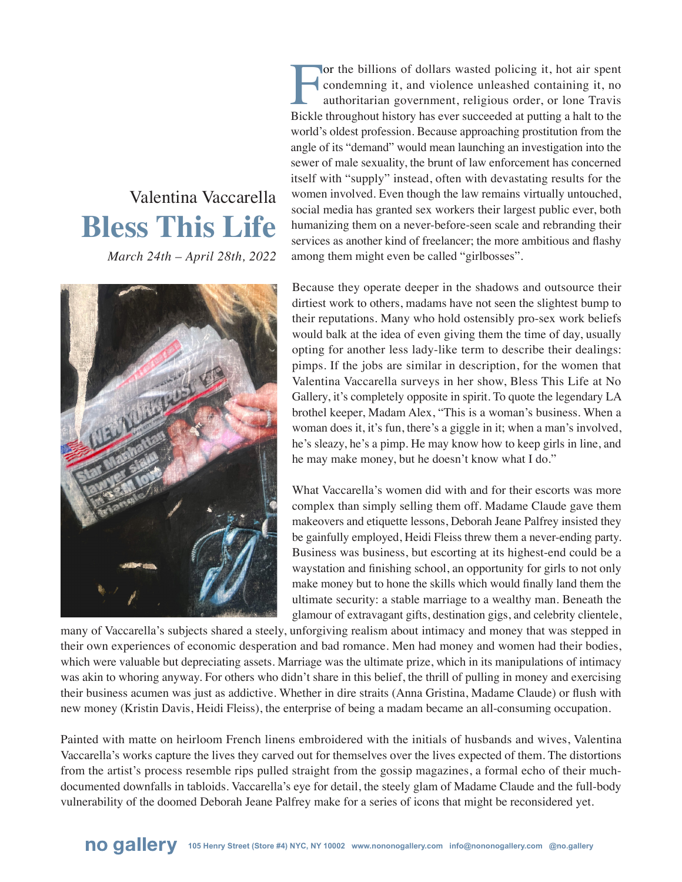## Valentina Vaccarella **Bless This Life**

*March 24th – April 28th, 2022*



For the billions of dollars wasted policing it, hot air spent<br>condemning it, and violence unleashed containing it, no<br>authoritarian government, religious order, or lone Travis<br>Bickle throughout history has ever succeeded a condemning it, and violence unleashed containing it, no authoritarian government, religious order, or lone Travis Bickle throughout history has ever succeeded at putting a halt to the world's oldest profession. Because approaching prostitution from the angle of its "demand" would mean launching an investigation into the sewer of male sexuality, the brunt of law enforcement has concerned itself with "supply" instead, often with devastating results for the women involved. Even though the law remains virtually untouched, social media has granted sex workers their largest public ever, both humanizing them on a never-before-seen scale and rebranding their services as another kind of freelancer; the more ambitious and flashy among them might even be called "girlbosses".

Because they operate deeper in the shadows and outsource their dirtiest work to others, madams have not seen the slightest bump to their reputations. Many who hold ostensibly pro-sex work beliefs would balk at the idea of even giving them the time of day, usually opting for another less lady-like term to describe their dealings: pimps. If the jobs are similar in description, for the women that Valentina Vaccarella surveys in her show, Bless This Life at No Gallery, it's completely opposite in spirit. To quote the legendary LA brothel keeper, Madam Alex, "This is a woman's business. When a woman does it, it's fun, there's a giggle in it; when a man's involved, he's sleazy, he's a pimp. He may know how to keep girls in line, and he may make money, but he doesn't know what I do."

What Vaccarella's women did with and for their escorts was more complex than simply selling them off. Madame Claude gave them makeovers and etiquette lessons, Deborah Jeane Palfrey insisted they be gainfully employed, Heidi Fleiss threw them a never-ending party. Business was business, but escorting at its highest-end could be a waystation and finishing school, an opportunity for girls to not only make money but to hone the skills which would finally land them the ultimate security: a stable marriage to a wealthy man. Beneath the glamour of extravagant gifts, destination gigs, and celebrity clientele,

many of Vaccarella's subjects shared a steely, unforgiving realism about intimacy and money that was stepped in their own experiences of economic desperation and bad romance. Men had money and women had their bodies, which were valuable but depreciating assets. Marriage was the ultimate prize, which in its manipulations of intimacy was akin to whoring anyway. For others who didn't share in this belief, the thrill of pulling in money and exercising their business acumen was just as addictive. Whether in dire straits (Anna Gristina, Madame Claude) or flush with new money (Kristin Davis, Heidi Fleiss), the enterprise of being a madam became an all-consuming occupation.

Painted with matte on heirloom French linens embroidered with the initials of husbands and wives, Valentina Vaccarella's works capture the lives they carved out for themselves over the lives expected of them. The distortions from the artist's process resemble rips pulled straight from the gossip magazines, a formal echo of their muchdocumented downfalls in tabloids. Vaccarella's eye for detail, the steely glam of Madame Claude and the full-body vulnerability of the doomed Deborah Jeane Palfrey make for a series of icons that might be reconsidered yet.